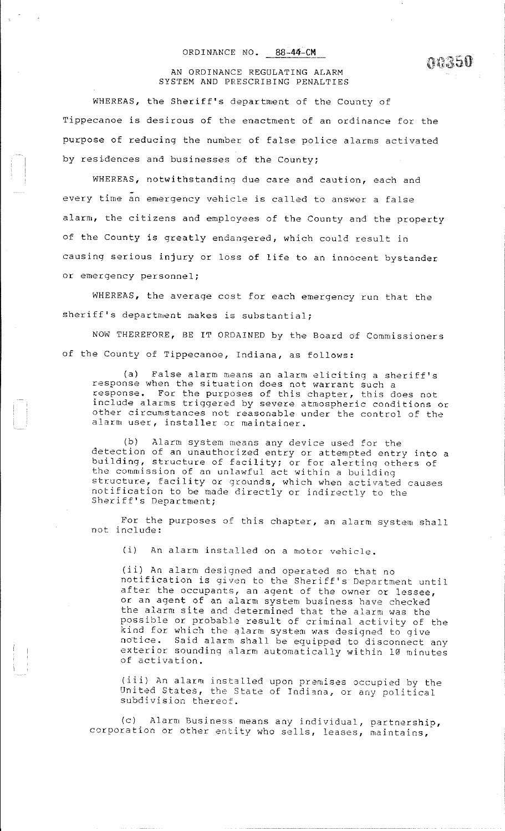### ORDINANCE NO. **88-44-CM**

 $\alpha \wedge \gamma \subset \Omega$  $\theta$  is a finite containt.

#### AN ORDINANCE REGULATING ALARM SYSTEM AND PRESCRIBING PENALTIES

WHEREAS, the Sheriff's department of the County of Tippecanoe is desirous of the enactment of an ordinance for the purpose of reducing the number of false police alarms activated by residences and businesses of the County;

WHEREAS, notwithstanding due care and caution, each and every time an emergency vehicle is called to answer a false alarm, the citizens and employees of the County and the property of the County is greatly endangered, which could result in causing serious injury or loss of life to an innocent bystander or emergency personnel;

WHEREAS, the average cost for each emergency run that the sheriff's department makes is substantial;

NOW THEREFORE, BE IT ORDAINED by the Board of Commissioners of the County of Tippecanoe, Indiana, as follows:

(a) False alarm means an alarm eliciting a sheriff's response when the situation does not warrant such a response. For the purposes of this chapter, this does not include alarms triggered by severe atmospheric conditions or other circumstances not reasonable under the control of the alarm user, installer or maintainer.

**(b) Alarrn system 1neans** an~/ **device used for the**  detection of an unauthorized entry or attempted entry into a building, structure of facility; or for alerting others of the commission of an unlawful act within a building **structure, facility or grounds, which when activated causes**  notification to be made directly or indirectly to the Sheriff's Department;

For the purposes of this chapter, an alarm system shall not include:

(i) An alarm installed on a motor vehicle.

(ii) An alarm designed and operated so that no notification is given to the Sheriff's Department until after the occupants, an agent of the owner or lessee, or an agent of an alarm system business have checked the alarm site and determined that the alarm was the possible or probable result of criminal activity of the kind for which the alarm system was designed to give notice. Said alarm shall be equipped to disconnect any exterior sounding alarm automatically within 10 minutes of activation.

(iii) An alarm installed upon premises occupied by the United States, the State of Indiana, or any political **subdivision thereof.** 

(c) Alarm Business means any individual, partnership, **corporation or other entity who sells, leases, maintains,**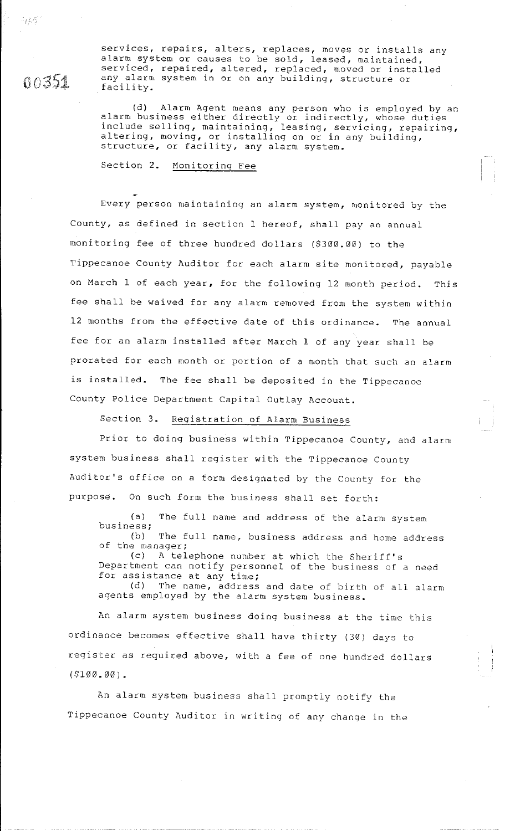00351

services, repairs, alters, replaces, moves or installs any alarm system or causes to be sold, leased, maintained, serviced, repaired, altered, replaced, moved or installed any alarm system in or on any building, structure or facility.

(d) Alarm Agent means any person who is employed by an alarm business either directly or indirectly, whose duties include selling, maintaining, leasing, servicing, repairing, altering, moving, or installing on or in any building, structure, or facility, any alarm system.

Section 2. Monitoring Fee

Every person maintaining an alarm system, monitored by the County, as defined in section 1 hereof, shall pay an annual monitoring fee of three hundred dollars (\$300.00) to the Tippecanoe County Auditor for each alarm site monitored, payable on March 1 of each year, for the following 12 month period. This fee shall be waived for any alarm removed from the system within 12 months from the effective date of this ordinance. The annual fee for an alarm installed after March 1 of any year shall be prorated for each month or portion of a month that such an alarm is installed. The fee shall be deposited in the Tippecanoe County Police Department Capital Outlay Account.

Section 3. Registration of Alarm Business

Prior to doing business within Tippecanoe County, and alarm system business shall register with the Tippecanoe County Auditor's office on a form designated by the County for the purpose. On such form the business shall set forth:

(a) The full name and address of the alarm system **business;**  (b) The full name, business address and home address

of the manager; (c) A telephone number at which the Sheriff's

Department can notify personnel of the business of a need for assistance at any time;

(d) The name, address and date of birth of all alarm agents employed by the alarm system business.

An alarm system business doing business at the time this ordinance becomes effective shall have thirty (30) days to register as required above, with a fee of one hundred dollars  $(5100.00)$ .

An alarm system business shall promptly notify the Tippecanoe County Auditor in writing of any change in the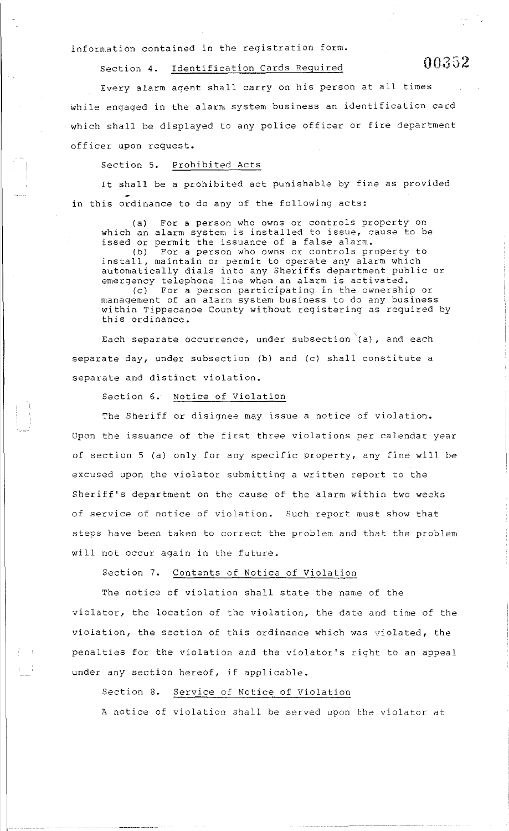information contained in the registration form.

Section 4. Identification Cards Required  $00352$ 

Every alarm agent shall carry on his person at all times while engaged in the alarm system business an identification card which shall be displayed to any police officer or fire department officer upon request.

### Section 5. Prohibited Acts

It shall be a prohibited act punishable by fine as provided in this ordinance to do any of the following acts:

(a) For a person who owns or controls property on which an alarm system is installed to issue, cause to be issed or permit the issuance of a false alarm.<br>(b) For a person who owns or controls pr For a person who owns or controls property to install, maintain or permit to operate any alarm which automatically dials into any Sheriffs department public or emergency telephone line when an alarm is activated.<br>(c) For a person participating in the ownership For a person participating in the ownership or management of an alarm system business to do any business within Tippecanoe County without registering as required by this ordinance.

Each separate occurrence, under subsection  $(a)$ , and each separate day, under subsection (b) and (c) shall constitute a separate and distinct violation.

Section 6. Notice of Violation

The Sheriff or disignee may issue a notice of violation. Upon the issuance of the first three violations per calendar year of section 5 (a) only for any specific property, any fine will be excused upon the violator submitting a written report to the Sheriff's department on the cause of the alarm within two weeks of service of notice of violation. Such report must show that steps have been taken to correct the problem and that the problem will not occur again in the future.

Section 7. Contents of Notice of Violation

The notice of violation shall state the name of the violator, the location of the violation, the date and time of the violation, the section of this ordinance which was violated, the penalties for the violation and the violator's right to an appeal under any section hereof, if applicable.

# Section 8. Service of Notice of Violation

A notice of violation shall be served upon the violator at